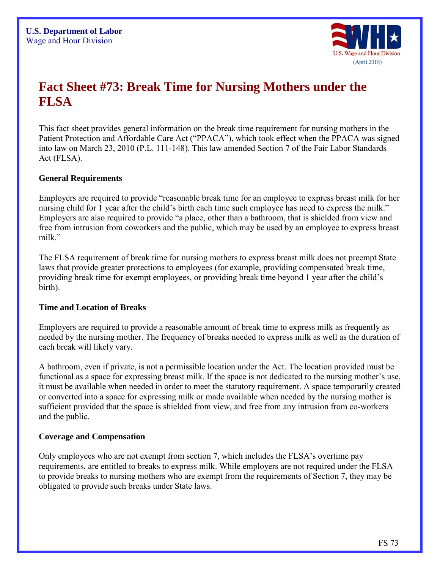

# **Fact Sheet #73: Break Time for Nursing Mothers under the FLSA**

This fact sheet provides general information on the break time requirement for nursing mothers in the Patient Protection and Affordable Care Act ("PPACA"), which took effect when the PPACA was signed into law on March 23, 2010 (P.L. 111-148). This law amended Section 7 of the Fair Labor Standards Act (FLSA).

### **General Requirements**

 Employers are also required to provide "a place, other than a bathroom, that is shielded from view and Employers are required to provide "reasonable break time for an employee to express breast milk for her nursing child for 1 year after the child's birth each time such employee has need to express the milk." free from intrusion from coworkers and the public, which may be used by an employee to express breast milk."

 laws that provide greater protections to employees (for example, providing compensated break time, providing break time for exempt employees, or providing break time beyond 1 year after the child's The FLSA requirement of break time for nursing mothers to express breast milk does not preempt State birth).

### **Time and Location of Breaks**

 Employers are required to provide a reasonable amount of break time to express milk as frequently as needed by the nursing mother. The frequency of breaks needed to express milk as well as the duration of each break will likely vary.

 functional as a space for expressing breast milk. If the space is not dedicated to the nursing mother's use, A bathroom, even if private, is not a permissible location under the Act. The location provided must be it must be available when needed in order to meet the statutory requirement. A space temporarily created or converted into a space for expressing milk or made available when needed by the nursing mother is sufficient provided that the space is shielded from view, and free from any intrusion from co-workers and the public.

### **Coverage and Compensation**

 to provide breaks to nursing mothers who are exempt from the requirements of Section 7, they may be Only employees who are not exempt from section 7, which includes the FLSA's overtime pay requirements, are entitled to breaks to express milk. While employers are not required under the FLSA obligated to provide such breaks under State laws.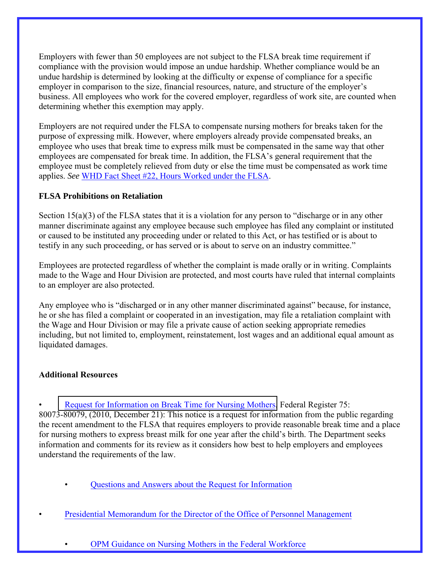Employers with fewer than 50 employees are not subject to the FLSA break time requirement if compliance with the provision would impose an undue hardship. Whether compliance would be an undue hardship is determined by looking at the difficulty or expense of compliance for a specific employer in comparison to the size, financial resources, nature, and structure of the employer's business. All employees who work for the covered employer, regardless of work site, are counted when determining whether this exemption may apply.

 employee must be completely relieved from duty or else the time must be compensated as work time applies. *See* [WHD Fact Sheet #22, Hours Worked under the FLSA.](http://www.dol.gov/whd/regs/compliance/whdfs22.htm) Employers are not required under the FLSA to compensate nursing mothers for breaks taken for the purpose of expressing milk. However, where employers already provide compensated breaks, an employee who uses that break time to express milk must be compensated in the same way that other employees are compensated for break time. In addition, the FLSA's general requirement that the

## **FLSA Prohibitions on Retaliation**

 manner discriminate against any employee because such employee has filed any complaint or instituted Section 15(a)(3) of the FLSA states that it is a violation for any person to "discharge or in any other or caused to be instituted any proceeding under or related to this Act, or has testified or is about to testify in any such proceeding, or has served or is about to serve on an industry committee."

 Employees are protected regardless of whether the complaint is made orally or in writing. Complaints to an employer are also protected. made to the Wage and Hour Division are protected, and most courts have ruled that internal complaints

 Any employee who is "discharged or in any other manner discriminated against" because, for instance, he or she has filed a complaint or cooperated in an investigation, may file a retaliation complaint with the Wage and Hour Division or may file a private cause of action seeking appropriate remedies including, but not limited to, employment, reinstatement, lost wages and an additional equal amount as liquidated damages.

### **Additional Resources**

• [Request for Information on Break Time for Nursing Mothers,](https://www.gpo.gov/fdsys/pkg/FR-2010-12-21/html/2010-31959.htm) Federal Register 75: 80073-80079, (2010, December 21): This notice is a request for information from the public regarding the recent amendment to the FLSA that requires employers to provide reasonable break time and a place for nursing mothers to express breast milk for one year after the child's birth. The Department seeks information and comments for its review as it considers how best to help employers and employees understand the requirements of the law.

- [Questions and Answers about the Request for Information](https://www.dol.gov/whd/nursingmothers/faqsRFI.htm)
- [Presidential Memorandum for the Director of the Office of Personnel Management](https://obamawhitehouse.archives.gov/the-press-office/2010/12/20/presidential-memorandum-delegation-certain-functions-and-authorities)
	- [OPM Guidance on Nursing Mothers in the Federal Workforce](https://www.dol.gov/whd/nursingmothers/NMothersFederalEmplymnt.pdf)